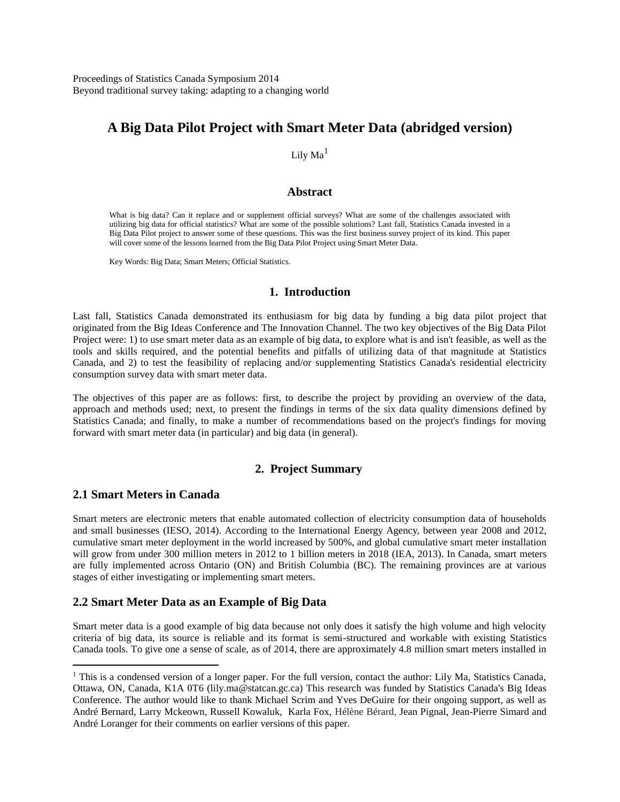Proceedings of Statistics Canada Symposium 2014 Beyond traditional survey taking: adapting to a changing world

# **A Big Data Pilot Project with Smart Meter Data (abridged version)**

## Lily  $Ma<sup>1</sup>$

#### **Abstract**

What is big data? Can it replace and or supplement official surveys? What are some of the challenges associated with utilizing big data for official statistics? What are some of the possible solutions? Last fall, Statistics Canada invested in a Big Data Pilot project to answer some of these questions. This was the first business survey project of its kind. This paper will cover some of the lessons learned from the Big Data Pilot Project using Smart Meter Data.

Key Words: Big Data; Smart Meters; Official Statistics.

## **1. Introduction**

Last fall, Statistics Canada demonstrated its enthusiasm for big data by funding a big data pilot project that originated from the Big Ideas Conference and The Innovation Channel. The two key objectives of the Big Data Pilot Project were: 1) to use smart meter data as an example of big data, to explore what is and isn't feasible, as well as the tools and skills required, and the potential benefits and pitfalls of utilizing data of that magnitude at Statistics Canada, and 2) to test the feasibility of replacing and/or supplementing Statistics Canada's residential electricity consumption survey data with smart meter data.

The objectives of this paper are as follows: first, to describe the project by providing an overview of the data, approach and methods used; next, to present the findings in terms of the six data quality dimensions defined by Statistics Canada; and finally, to make a number of recommendations based on the project's findings for moving forward with smart meter data (in particular) and big data (in general).

## **2. Project Summary**

## **2.1 Smart Meters in Canada**

 $\overline{a}$ 

Smart meters are electronic meters that enable automated collection of electricity consumption data of households and small businesses (IESO, 2014). According to the International Energy Agency, between year 2008 and 2012, cumulative smart meter deployment in the world increased by 500%, and global cumulative smart meter installation will grow from under 300 million meters in 2012 to 1 billion meters in 2018 (IEA, 2013). In Canada, smart meters are fully implemented across Ontario (ON) and British Columbia (BC). The remaining provinces are at various stages of either investigating or implementing smart meters.

## **2.2 Smart Meter Data as an Example of Big Data**

Smart meter data is a good example of big data because not only does it satisfy the high volume and high velocity criteria of big data, its source is reliable and its format is semi-structured and workable with existing Statistics Canada tools. To give one a sense of scale, as of 2014, there are approximately 4.8 million smart meters installed in

<sup>&</sup>lt;sup>1</sup> This is a condensed version of a longer paper. For the full version, contact the author: Lily Ma, Statistics Canada, Ottawa, ON, Canada, K1A 0T6 (lily.ma@statcan.gc.ca) This research was funded by Statistics Canada's Big Ideas Conference. The author would like to thank Michael Scrim and Yves DeGuire for their ongoing support, as well as André Bernard, Larry Mckeown, Russell Kowaluk, Karla Fox, Hélène Bérard, Jean Pignal, Jean-Pierre Simard and André Loranger for their comments on earlier versions of this paper.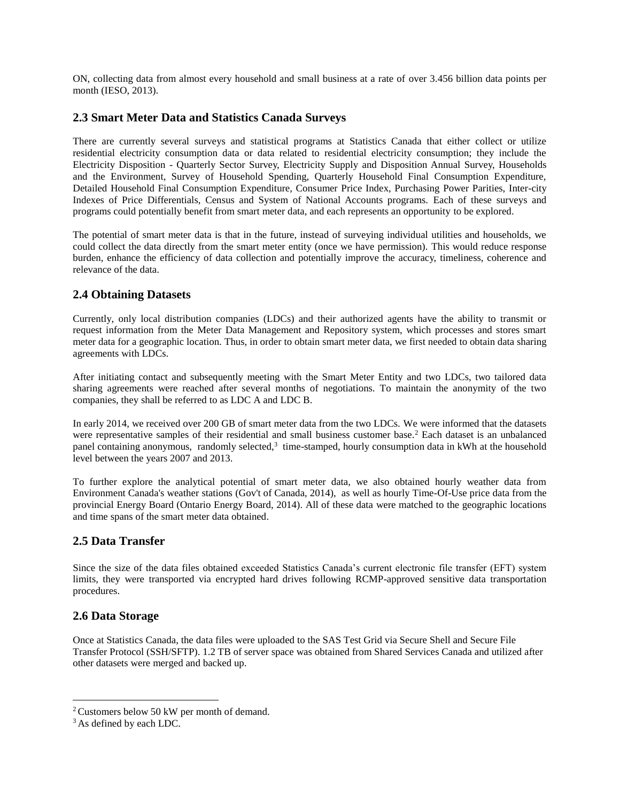ON, collecting data from almost every household and small business at a rate of over 3.456 billion data points per month (IESO, 2013).

## **2.3 Smart Meter Data and Statistics Canada Surveys**

There are currently several surveys and statistical programs at Statistics Canada that either collect or utilize residential electricity consumption data or data related to residential electricity consumption; they include the Electricity Disposition - Quarterly Sector Survey, Electricity Supply and Disposition Annual Survey, Households and the Environment, Survey of Household Spending, Quarterly Household Final Consumption Expenditure, Detailed Household Final Consumption Expenditure, Consumer Price Index, Purchasing Power Parities, Inter-city Indexes of Price Differentials, Census and System of National Accounts programs. Each of these surveys and programs could potentially benefit from smart meter data, and each represents an opportunity to be explored.

The potential of smart meter data is that in the future, instead of surveying individual utilities and households, we could collect the data directly from the smart meter entity (once we have permission). This would reduce response burden, enhance the efficiency of data collection and potentially improve the accuracy, timeliness, coherence and relevance of the data.

## **2.4 Obtaining Datasets**

Currently, only local distribution companies (LDCs) and their authorized agents have the ability to transmit or request information from the Meter Data Management and Repository system, which processes and stores smart meter data for a geographic location. Thus, in order to obtain smart meter data, we first needed to obtain data sharing agreements with LDCs.

After initiating contact and subsequently meeting with the Smart Meter Entity and two LDCs, two tailored data sharing agreements were reached after several months of negotiations. To maintain the anonymity of the two companies, they shall be referred to as LDC A and LDC B.

In early 2014, we received over 200 GB of smart meter data from the two LDCs. We were informed that the datasets were representative samples of their residential and small business customer base.<sup>2</sup> Each dataset is an unbalanced panel containing anonymous, randomly selected,<sup>3</sup> time-stamped, hourly consumption data in kWh at the household level between the years 2007 and 2013.

To further explore the analytical potential of smart meter data, we also obtained hourly weather data from Environment Canada's weather stations (Gov't of Canada, 2014), as well as hourly Time-Of-Use price data from the provincial Energy Board (Ontario Energy Board, 2014). All of these data were matched to the geographic locations and time spans of the smart meter data obtained.

## **2.5 Data Transfer**

Since the size of the data files obtained exceeded Statistics Canada's current electronic file transfer (EFT) system limits, they were transported via encrypted hard drives following RCMP-approved sensitive data transportation procedures.

## **2.6 Data Storage**

Once at Statistics Canada, the data files were uploaded to the SAS Test Grid via Secure Shell and Secure File Transfer Protocol (SSH/SFTP). 1.2 TB of server space was obtained from Shared Services Canada and utilized after other datasets were merged and backed up.

 $\overline{a}$ 

<sup>&</sup>lt;sup>2</sup> Customers below 50 kW per month of demand.

<sup>&</sup>lt;sup>3</sup> As defined by each LDC.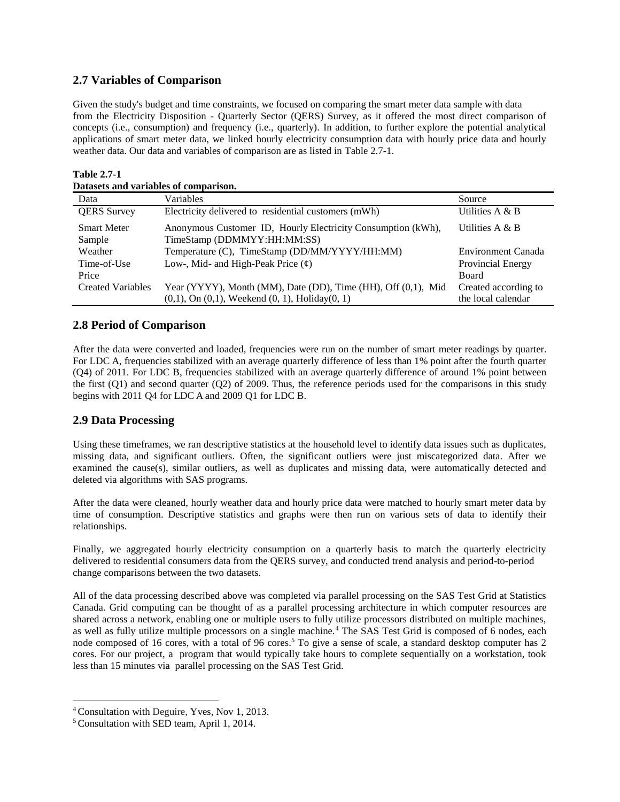## **2.7 Variables of Comparison**

Given the study's budget and time constraints, we focused on comparing the smart meter data sample with data from the Electricity Disposition - Quarterly Sector (QERS) Survey, as it offered the most direct comparison of concepts (i.e., consumption) and frequency (i.e., quarterly). In addition, to further explore the potential analytical applications of smart meter data, we linked hourly electricity consumption data with hourly price data and hourly weather data. Our data and variables of comparison are as listed in Table 2.7-1.

| Datasets and variables of comparison. |                                                               |                      |
|---------------------------------------|---------------------------------------------------------------|----------------------|
| Data                                  | Variables                                                     | Source               |
| <b>QERS</b> Survey                    | Electricity delivered to residential customers (mWh)          | Utilities $A \& B$   |
| <b>Smart Meter</b>                    | Anonymous Customer ID, Hourly Electricity Consumption (kWh),  | Utilities $A \& B$   |
| Sample                                | TimeStamp (DDMMYY:HH:MM:SS)                                   |                      |
| Weather                               | Temperature (C), TimeStamp (DD/MM/YYYY/HH:MM)                 | Environment Canada   |
| Time-of-Use                           | Low-, Mid- and High-Peak Price $(\phi)$                       | Provincial Energy    |
| Price                                 |                                                               | <b>Board</b>         |
| <b>Created Variables</b>              | Year (YYYY), Month (MM), Date (DD), Time (HH), Off (0,1), Mid | Created according to |
|                                       | $(0,1)$ , On $(0,1)$ , Weekend $(0, 1)$ , Holiday $(0, 1)$    | the local calendar   |

#### **Table 2.7-1 Datasets and variables of comparison.**

## **2.8 Period of Comparison**

After the data were converted and loaded, frequencies were run on the number of smart meter readings by quarter. For LDC A, frequencies stabilized with an average quarterly difference of less than 1% point after the fourth quarter (Q4) of 2011. For LDC B, frequencies stabilized with an average quarterly difference of around 1% point between the first (Q1) and second quarter (Q2) of 2009. Thus, the reference periods used for the comparisons in this study begins with 2011 Q4 for LDC A and 2009 Q1 for LDC B.

## **2.9 Data Processing**

Using these timeframes, we ran descriptive statistics at the household level to identify data issues such as duplicates, missing data, and significant outliers. Often, the significant outliers were just miscategorized data. After we examined the cause(s), similar outliers, as well as duplicates and missing data, were automatically detected and deleted via algorithms with SAS programs.

After the data were cleaned, hourly weather data and hourly price data were matched to hourly smart meter data by time of consumption. Descriptive statistics and graphs were then run on various sets of data to identify their relationships.

Finally, we aggregated hourly electricity consumption on a quarterly basis to match the quarterly electricity delivered to residential consumers data from the QERS survey, and conducted trend analysis and period-to-period change comparisons between the two datasets.

All of the data processing described above was completed via parallel processing on the SAS Test Grid at Statistics Canada. Grid computing can be thought of as a parallel processing architecture in which computer resources are shared across a network, enabling one or multiple users to fully utilize processors distributed on multiple machines, as well as fully utilize multiple processors on a single machine.<sup>4</sup> The SAS Test Grid is composed of 6 nodes, each node composed of 16 cores, with a total of 96 cores. <sup>5</sup> To give a sense of scale, a standard desktop computer has 2 cores. For our project, a program that would typically take hours to complete sequentially on a workstation, took less than 15 minutes via parallel processing on the SAS Test Grid.

 $\overline{a}$ 

<sup>4</sup> Consultation with Deguire, Yves, Nov 1, 2013.

<sup>5</sup> Consultation with SED team, April 1, 2014.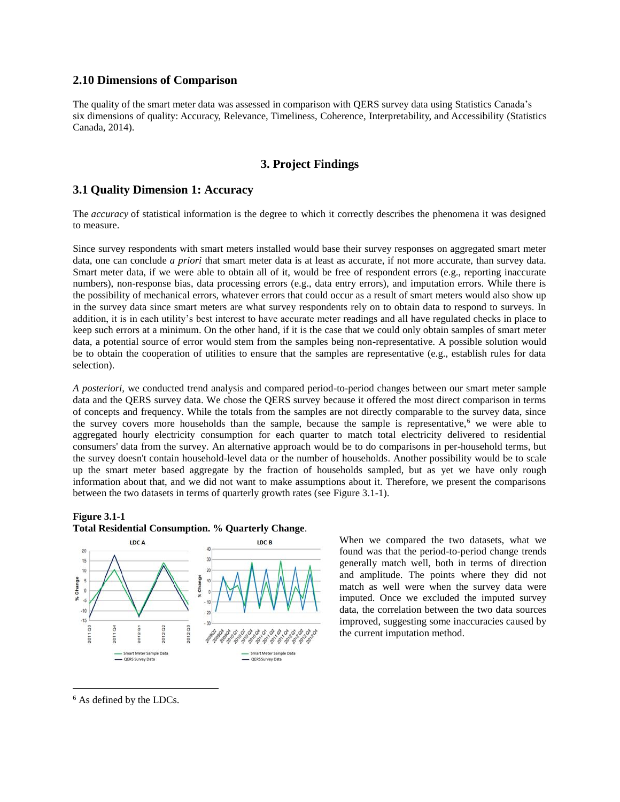#### **2.10 Dimensions of Comparison**

The quality of the smart meter data was assessed in comparison with QERS survey data using Statistics Canada's six dimensions of quality: Accuracy, Relevance, Timeliness, Coherence, Interpretability, and Accessibility (Statistics Canada, 2014).

### **3. Project Findings**

## **3.1 Quality Dimension 1: Accuracy**

The *accuracy* of statistical information is the degree to which it correctly describes the phenomena it was designed to measure.

Since survey respondents with smart meters installed would base their survey responses on aggregated smart meter data, one can conclude *a priori* that smart meter data is at least as accurate, if not more accurate, than survey data. Smart meter data, if we were able to obtain all of it, would be free of respondent errors (e.g., reporting inaccurate numbers), non-response bias, data processing errors (e.g., data entry errors), and imputation errors. While there is the possibility of mechanical errors, whatever errors that could occur as a result of smart meters would also show up in the survey data since smart meters are what survey respondents rely on to obtain data to respond to surveys. In addition, it is in each utility's best interest to have accurate meter readings and all have regulated checks in place to keep such errors at a minimum. On the other hand, if it is the case that we could only obtain samples of smart meter data, a potential source of error would stem from the samples being non-representative. A possible solution would be to obtain the cooperation of utilities to ensure that the samples are representative (e.g., establish rules for data selection).

*A posteriori,* we conducted trend analysis and compared period-to-period changes between our smart meter sample data and the QERS survey data. We chose the QERS survey because it offered the most direct comparison in terms of concepts and frequency. While the totals from the samples are not directly comparable to the survey data, since the survey covers more households than the sample, because the sample is representative,<sup>6</sup> we were able to aggregated hourly electricity consumption for each quarter to match total electricity delivered to residential consumers' data from the survey. An alternative approach would be to do comparisons in per-household terms, but the survey doesn't contain household-level data or the number of households. Another possibility would be to scale up the smart meter based aggregate by the fraction of households sampled, but as yet we have only rough information about that, and we did not want to make assumptions about it. Therefore, we present the comparisons between the two datasets in terms of quarterly growth rates (see Figure 3.1-1).

#### **Figure 3.1-1**





When we compared the two datasets, what we found was that the period-to-period change trends generally match well, both in terms of direction and amplitude. The points where they did not match as well were when the survey data were imputed. Once we excluded the imputed survey data, the correlation between the two data sources improved, suggesting some inaccuracies caused by the current imputation method.

<sup>6</sup> As defined by the LDCs.

 $\overline{a}$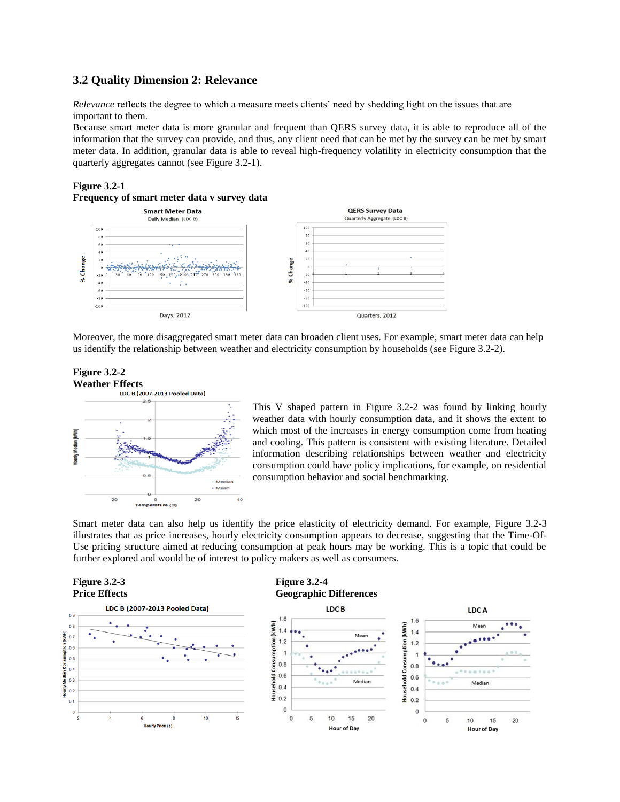## **3.2 Quality Dimension 2: Relevance**

*Relevance* reflects the degree to which a measure meets clients' need by shedding light on the issues that are important to them.

Because smart meter data is more granular and frequent than QERS survey data, it is able to reproduce all of the information that the survey can provide, and thus, any client need that can be met by the survey can be met by smart meter data. In addition, granular data is able to reveal high-frequency volatility in electricity consumption that the quarterly aggregates cannot (see Figure 3.2-1).

#### **Figure 3.2-1**





Moreover, the more disaggregated smart meter data can broaden client uses. For example, smart meter data can help us identify the relationship between weather and electricity consumption by households (see Figure 3.2-2).

# **Figure 3.2-2 Weather Effects**<br>LDC B (2007-2013 Pooled Data)



This V shaped pattern in Figure 3.2-2 was found by linking hourly weather data with hourly consumption data, and it shows the extent to which most of the increases in energy consumption come from heating and cooling. This pattern is consistent with existing literature. Detailed information describing relationships between weather and electricity consumption could have policy implications, for example, on residential consumption behavior and social benchmarking.

Smart meter data can also help us identify the price elasticity of electricity demand. For example, Figure 3.2-3 illustrates that as price increases, hourly electricity consumption appears to decrease, suggesting that the Time-Of-Use pricing structure aimed at reducing consumption at peak hours may be working. This is a topic that could be further explored and would be of interest to policy makers as well as consumers.

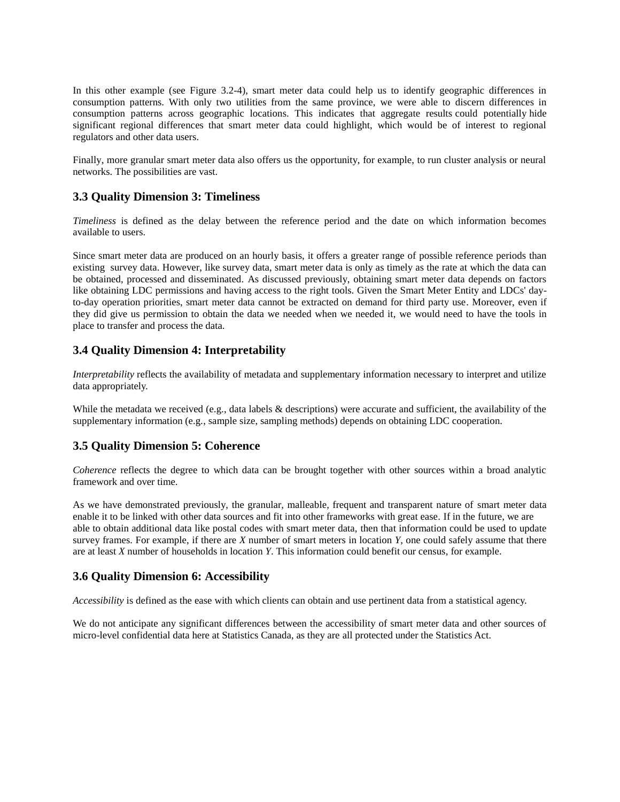In this other example (see Figure 3.2-4), smart meter data could help us to identify geographic differences in consumption patterns. With only two utilities from the same province, we were able to discern differences in consumption patterns across geographic locations. This indicates that aggregate results could potentially hide significant regional differences that smart meter data could highlight, which would be of interest to regional regulators and other data users.

Finally, more granular smart meter data also offers us the opportunity, for example, to run cluster analysis or neural networks. The possibilities are vast.

## **3.3 Quality Dimension 3: Timeliness**

*Timeliness* is defined as the delay between the reference period and the date on which information becomes available to users.

Since smart meter data are produced on an hourly basis, it offers a greater range of possible reference periods than existing survey data. However, like survey data, smart meter data is only as timely as the rate at which the data can be obtained, processed and disseminated. As discussed previously, obtaining smart meter data depends on factors like obtaining LDC permissions and having access to the right tools. Given the Smart Meter Entity and LDCs' dayto-day operation priorities, smart meter data cannot be extracted on demand for third party use. Moreover, even if they did give us permission to obtain the data we needed when we needed it, we would need to have the tools in place to transfer and process the data.

## **3.4 Quality Dimension 4: Interpretability**

*Interpretability* reflects the availability of metadata and supplementary information necessary to interpret and utilize data appropriately.

While the metadata we received (e.g., data labels & descriptions) were accurate and sufficient, the availability of the supplementary information (e.g., sample size, sampling methods) depends on obtaining LDC cooperation.

## **3.5 Quality Dimension 5: Coherence**

*Coherence* reflects the degree to which data can be brought together with other sources within a broad analytic framework and over time.

As we have demonstrated previously, the granular, malleable, frequent and transparent nature of smart meter data enable it to be linked with other data sources and fit into other frameworks with great ease. If in the future, we are able to obtain additional data like postal codes with smart meter data, then that information could be used to update survey frames. For example, if there are *X* number of smart meters in location *Y*, one could safely assume that there are at least *X* number of households in location *Y*. This information could benefit our census, for example.

## **3.6 Quality Dimension 6: Accessibility**

*Accessibility* is defined as the ease with which clients can obtain and use pertinent data from a statistical agency.

We do not anticipate any significant differences between the accessibility of smart meter data and other sources of micro-level confidential data here at Statistics Canada, as they are all protected under the Statistics Act.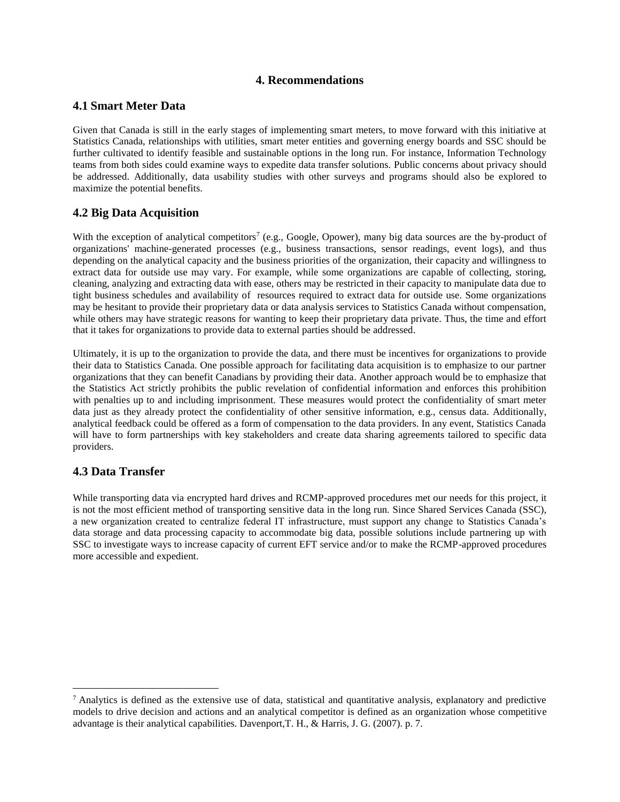### **4. Recommendations**

### **4.1 Smart Meter Data**

Given that Canada is still in the early stages of implementing smart meters, to move forward with this initiative at Statistics Canada, relationships with utilities, smart meter entities and governing energy boards and SSC should be further cultivated to identify feasible and sustainable options in the long run. For instance, Information Technology teams from both sides could examine ways to expedite data transfer solutions. Public concerns about privacy should be addressed. Additionally, data usability studies with other surveys and programs should also be explored to maximize the potential benefits.

## **4.2 Big Data Acquisition**

With the exception of analytical competitors<sup>7</sup> (e.g., Google, Opower), many big data sources are the by-product of organizations' machine-generated processes (e.g., business transactions, sensor readings, event logs), and thus depending on the analytical capacity and the business priorities of the organization, their capacity and willingness to extract data for outside use may vary. For example, while some organizations are capable of collecting, storing, cleaning, analyzing and extracting data with ease, others may be restricted in their capacity to manipulate data due to tight business schedules and availability of resources required to extract data for outside use. Some organizations may be hesitant to provide their proprietary data or data analysis services to Statistics Canada without compensation, while others may have strategic reasons for wanting to keep their proprietary data private. Thus, the time and effort that it takes for organizations to provide data to external parties should be addressed.

Ultimately, it is up to the organization to provide the data, and there must be incentives for organizations to provide their data to Statistics Canada. One possible approach for facilitating data acquisition is to emphasize to our partner organizations that they can benefit Canadians by providing their data. Another approach would be to emphasize that the Statistics Act strictly prohibits the public revelation of confidential information and enforces this prohibition with penalties up to and including imprisonment. These measures would protect the confidentiality of smart meter data just as they already protect the confidentiality of other sensitive information, e.g., census data. Additionally, analytical feedback could be offered as a form of compensation to the data providers. In any event, Statistics Canada will have to form partnerships with key stakeholders and create data sharing agreements tailored to specific data providers.

## **4.3 Data Transfer**

 $\overline{a}$ 

While transporting data via encrypted hard drives and RCMP-approved procedures met our needs for this project, it is not the most efficient method of transporting sensitive data in the long run. Since Shared Services Canada (SSC), a new organization created to centralize federal IT infrastructure, must support any change to Statistics Canada's data storage and data processing capacity to accommodate big data, possible solutions include partnering up with SSC to investigate ways to increase capacity of current EFT service and/or to make the RCMP-approved procedures more accessible and expedient.

 $<sup>7</sup>$  Analytics is defined as the extensive use of data, statistical and quantitative analysis, explanatory and predictive</sup> models to drive decision and actions and an analytical competitor is defined as an organization whose competitive advantage is their analytical capabilities. Davenport,T. H., & Harris, J. G. (2007). p. 7.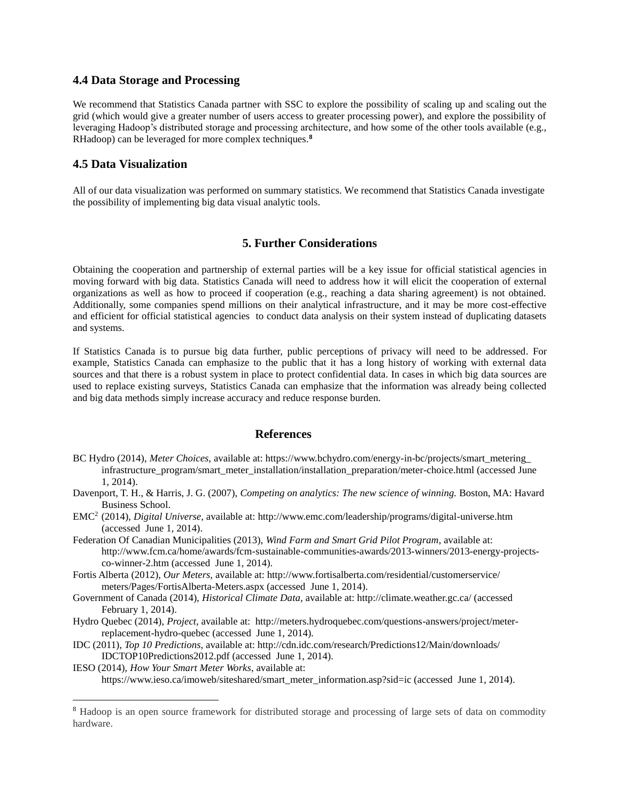#### **4.4 Data Storage and Processing**

We recommend that Statistics Canada partner with SSC to explore the possibility of scaling up and scaling out the grid (which would give a greater number of users access to greater processing power), and explore the possibility of leveraging Hadoop's distributed storage and processing architecture, and how some of the other tools available (e.g., RHadoop) can be leveraged for more complex techniques.**<sup>8</sup>**

### **4.5 Data Visualization**

 $\overline{a}$ 

All of our data visualization was performed on summary statistics. We recommend that Statistics Canada investigate the possibility of implementing big data visual analytic tools.

### **5. Further Considerations**

Obtaining the cooperation and partnership of external parties will be a key issue for official statistical agencies in moving forward with big data. Statistics Canada will need to address how it will elicit the cooperation of external organizations as well as how to proceed if cooperation (e.g., reaching a data sharing agreement) is not obtained. Additionally, some companies spend millions on their analytical infrastructure, and it may be more cost-effective and efficient for official statistical agencies to conduct data analysis on their system instead of duplicating datasets and systems.

If Statistics Canada is to pursue big data further, public perceptions of privacy will need to be addressed. For example, Statistics Canada can emphasize to the public that it has a long history of working with external data sources and that there is a robust system in place to protect confidential data. In cases in which big data sources are used to replace existing surveys, Statistics Canada can emphasize that the information was already being collected and big data methods simply increase accuracy and reduce response burden.

#### **References**

- BC Hydro (2014), *Meter Choices,* available at: https://www.bchydro.com/energy-in-bc/projects/smart\_metering\_ infrastructure\_program/smart\_meter\_installation/installation\_preparation/meter-choice.html (accessed June 1, 2014).
- Davenport, T. H., & Harris, J. G. (2007), *Competing on analytics: The new science of winning.* Boston, MA: Havard Business School.
- EMC<sup>2</sup>(2014), *Digital Universe*, available at: http://www.emc.com/leadership/programs/digital-universe.htm (accessed June 1, 2014).
- Federation Of Canadian Municipalities (2013), *Wind Farm and Smart Grid Pilot Program*, available at: http://www.fcm.ca/home/awards/fcm-sustainable-communities-awards/2013-winners/2013-energy-projectsco-winner-2.htm (accessed June 1, 2014).
- Fortis Alberta (2012), *Our Meters,* available at: http://www.fortisalberta.com/residential/customerservice/ meters/Pages/FortisAlberta-Meters.aspx (accessed June 1, 2014).
- Government of Canada (2014), *Historical Climate Data,* available at: http://climate.weather.gc.ca/ (accessed February 1, 2014).
- Hydro Quebec (2014), *Project,* available at: http://meters.hydroquebec.com/questions-answers/project/meterreplacement-hydro-quebec (accessed June 1, 2014).
- IDC (2011), *Top 10 Predictions*, available at: http://cdn.idc.com/research/Predictions12/Main/downloads/ IDCTOP10Predictions2012.pdf (accessed June 1, 2014).
- IESO (2014), *How Your Smart Meter Works*, available at: https://www.ieso.ca/imoweb/siteshared/smart\_meter\_information.asp?sid=ic (accessed June 1, 2014).

<sup>8</sup> Hadoop is an open source framework for distributed storage and processing of large sets of data on commodity hardware.